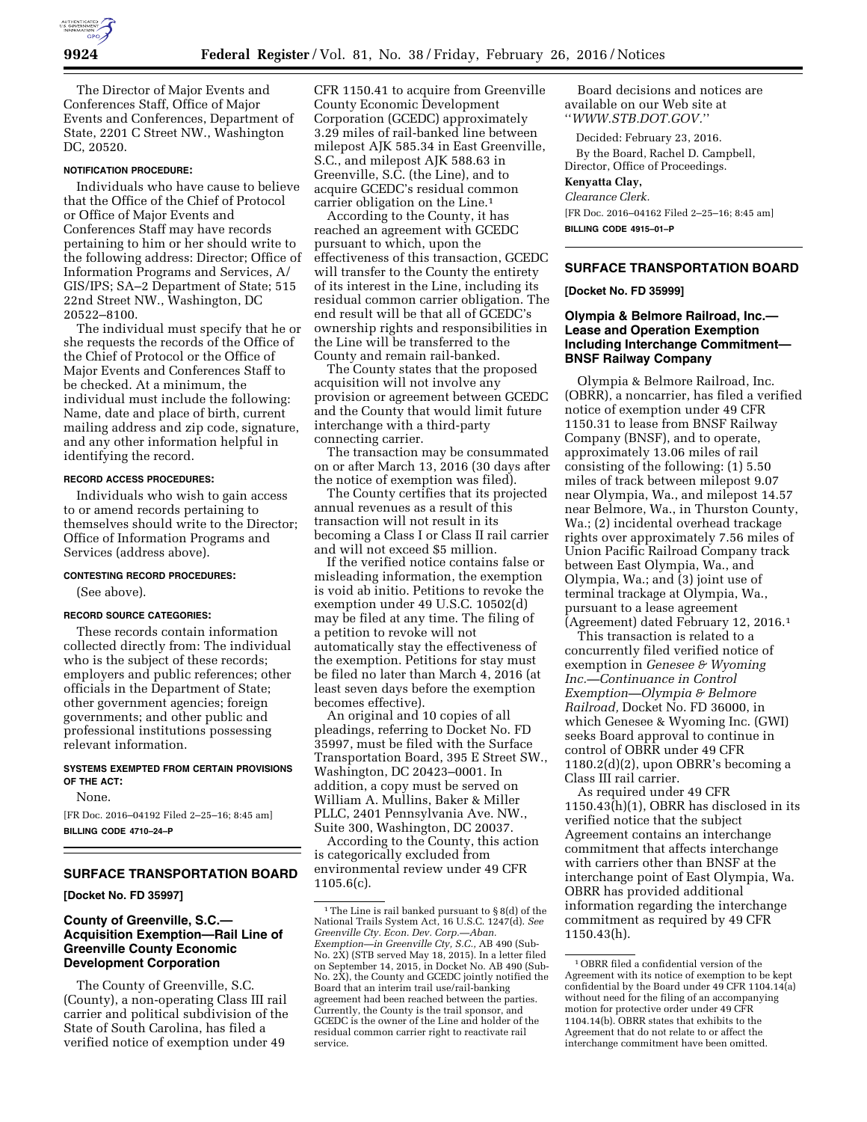

The Director of Major Events and Conferences Staff, Office of Major Events and Conferences, Department of State, 2201 C Street NW., Washington DC, 20520.

#### **NOTIFICATION PROCEDURE:**

Individuals who have cause to believe that the Office of the Chief of Protocol or Office of Major Events and Conferences Staff may have records pertaining to him or her should write to the following address: Director; Office of Information Programs and Services, A/ GIS/IPS; SA–2 Department of State; 515 22nd Street NW., Washington, DC 20522–8100.

The individual must specify that he or she requests the records of the Office of the Chief of Protocol or the Office of Major Events and Conferences Staff to be checked. At a minimum, the individual must include the following: Name, date and place of birth, current mailing address and zip code, signature, and any other information helpful in identifying the record.

### **RECORD ACCESS PROCEDURES:**

Individuals who wish to gain access to or amend records pertaining to themselves should write to the Director; Office of Information Programs and Services (address above).

## **CONTESTING RECORD PROCEDURES:**

(See above).

#### **RECORD SOURCE CATEGORIES:**

These records contain information collected directly from: The individual who is the subject of these records; employers and public references; other officials in the Department of State; other government agencies; foreign governments; and other public and professional institutions possessing relevant information.

## **SYSTEMS EXEMPTED FROM CERTAIN PROVISIONS OF THE ACT:**

None.

[FR Doc. 2016–04192 Filed 2–25–16; 8:45 am] **BILLING CODE 4710–24–P** 

# **SURFACE TRANSPORTATION BOARD**

**[Docket No. FD 35997]** 

## **County of Greenville, S.C.— Acquisition Exemption—Rail Line of Greenville County Economic Development Corporation**

The County of Greenville, S.C. (County), a non-operating Class III rail carrier and political subdivision of the State of South Carolina, has filed a verified notice of exemption under 49

CFR 1150.41 to acquire from Greenville County Economic Development Corporation (GCEDC) approximately 3.29 miles of rail-banked line between milepost AJK 585.34 in East Greenville, S.C., and milepost AJK 588.63 in Greenville, S.C. (the Line), and to acquire GCEDC's residual common carrier obligation on the Line.1

According to the County, it has reached an agreement with GCEDC pursuant to which, upon the effectiveness of this transaction, GCEDC will transfer to the County the entirety of its interest in the Line, including its residual common carrier obligation. The end result will be that all of GCEDC's ownership rights and responsibilities in the Line will be transferred to the County and remain rail-banked.

The County states that the proposed acquisition will not involve any provision or agreement between GCEDC and the County that would limit future interchange with a third-party connecting carrier.

The transaction may be consummated on or after March 13, 2016 (30 days after the notice of exemption was filed).

The County certifies that its projected annual revenues as a result of this transaction will not result in its becoming a Class I or Class II rail carrier and will not exceed \$5 million.

If the verified notice contains false or misleading information, the exemption is void ab initio. Petitions to revoke the exemption under 49 U.S.C. 10502(d) may be filed at any time. The filing of a petition to revoke will not automatically stay the effectiveness of the exemption. Petitions for stay must be filed no later than March 4, 2016 (at least seven days before the exemption becomes effective).

An original and 10 copies of all pleadings, referring to Docket No. FD 35997, must be filed with the Surface Transportation Board, 395 E Street SW., Washington, DC 20423–0001. In addition, a copy must be served on William A. Mullins, Baker & Miller PLLC, 2401 Pennsylvania Ave. NW., Suite 300, Washington, DC 20037.

According to the County, this action is categorically excluded from environmental review under 49 CFR 1105.6(c).

Board decisions and notices are available on our Web site at ''*WWW.STB.DOT.GOV.*''

Decided: February 23, 2016.

By the Board, Rachel D. Campbell, Director, Office of Proceedings.

**Kenyatta Clay,**  *Clearance Clerk.* 

[FR Doc. 2016–04162 Filed 2–25–16; 8:45 am] **BILLING CODE 4915–01–P** 

## **SURFACE TRANSPORTATION BOARD**

**[Docket No. FD 35999]** 

## **Olympia & Belmore Railroad, Inc.— Lease and Operation Exemption Including Interchange Commitment— BNSF Railway Company**

Olympia & Belmore Railroad, Inc. (OBRR), a noncarrier, has filed a verified notice of exemption under 49 CFR 1150.31 to lease from BNSF Railway Company (BNSF), and to operate, approximately 13.06 miles of rail consisting of the following: (1) 5.50 miles of track between milepost 9.07 near Olympia, Wa., and milepost 14.57 near Belmore, Wa., in Thurston County, Wa.; (2) incidental overhead trackage rights over approximately 7.56 miles of Union Pacific Railroad Company track between East Olympia, Wa., and Olympia, Wa.; and (3) joint use of terminal trackage at Olympia, Wa., pursuant to a lease agreement (Agreement) dated February 12, 2016.1

This transaction is related to a concurrently filed verified notice of exemption in *Genesee & Wyoming Inc.—Continuance in Control Exemption—Olympia & Belmore Railroad,* Docket No. FD 36000, in which Genesee & Wyoming Inc. (GWI) seeks Board approval to continue in control of OBRR under 49 CFR 1180.2(d)(2), upon OBRR's becoming a Class III rail carrier.

As required under 49 CFR 1150.43(h)(1), OBRR has disclosed in its verified notice that the subject Agreement contains an interchange commitment that affects interchange with carriers other than BNSF at the interchange point of East Olympia, Wa. OBRR has provided additional information regarding the interchange commitment as required by 49 CFR 1150.43(h).

 $^{\rm 1}$  The Line is rail banked pursuant to  $\S\,8(\mathrm{d})$  of the National Trails System Act, 16 U.S.C. 1247(d). *See Greenville Cty. Econ. Dev. Corp.—Aban. Exemption—in Greenville Cty, S.C.,* AB 490 (Sub-No. 2X) (STB served May 18, 2015). In a letter filed on September 14, 2015, in Docket No. AB 490 (Sub-No. 2X), the County and GCEDC jointly notified the Board that an interim trail use/rail-banking agreement had been reached between the parties. Currently, the County is the trail sponsor, and GCEDC is the owner of the Line and holder of the residual common carrier right to reactivate rail service.

<sup>1</sup>OBRR filed a confidential version of the Agreement with its notice of exemption to be kept confidential by the Board under 49 CFR 1104.14(a) without need for the filing of an accompanying motion for protective order under 49 CFR 1104.14(b). OBRR states that exhibits to the Agreement that do not relate to or affect the interchange commitment have been omitted.